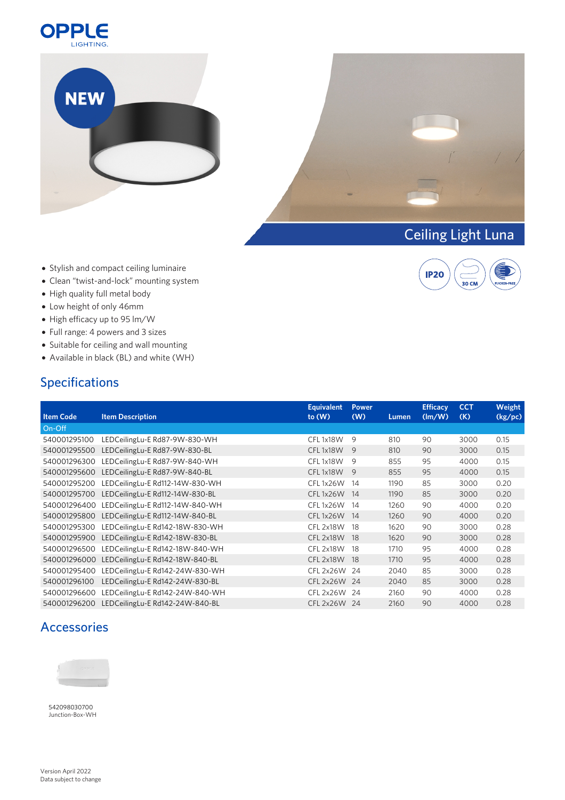





**IP20** 

C  $30$  CM

- Stylish and compact ceiling luminaire
- Clean "twist-and-lock" mounting system
- High quality full metal body
- Low height of only 46mm
- High efficacy up to 95 lm/W
- Full range: 4 powers and 3 sizes
- Suitable for ceiling and wall mounting
- Available in black (BL) and white (WH)

## Specifications

| <b>Item Code</b> | <b>Item Description</b>         | <b>Equivalent</b><br>to $(W)$ | <b>Power</b><br>(W) | Lumen | <b>Efficacy</b><br>$\frac{1}{2}$ | <b>CCT</b><br>(K) | Weight<br>(kg/pc) |
|------------------|---------------------------------|-------------------------------|---------------------|-------|----------------------------------|-------------------|-------------------|
|                  |                                 |                               |                     |       |                                  |                   |                   |
| On-Off           |                                 |                               |                     |       |                                  |                   |                   |
| 540001295100     | LEDCeilingLu-E Rd87-9W-830-WH   | CFL1x18W                      | 9                   | 810   | 90                               | 3000              | 0.15              |
| 540001295500     | LEDCeilingLu-E Rd87-9W-830-BL   | CFL1x18W                      | 9                   | 810   | 90                               | 3000              | 0.15              |
| 540001296300     | LEDCeilingLu-E Rd87-9W-840-WH   | CFL1x18W                      | 9                   | 855   | 95                               | 4000              | 0.15              |
| 540001295600     | LEDCeilingLu-E Rd87-9W-840-BL   | CFL1x18W                      | 9                   | 855   | 95                               | 4000              | 0.15              |
| 540001295200     | LEDCeilingLu-E Rd112-14W-830-WH | CFL1x26W                      | - 14                | 1190  | 85                               | 3000              | 0.20              |
| 540001295700     | LEDCeilingLu-E Rd112-14W-830-BL | CFL 1x26W 14                  |                     | 1190  | 85                               | 3000              | 0.20              |
| 540001296400     | LEDCeilingLu-E Rd112-14W-840-WH | CFL1x26W                      | - 14                | 1260  | 90                               | 4000              | 0.20              |
| 540001295800     | LEDCeilingLu-E Rd112-14W-840-BL | CFL 1x26W 14                  |                     | 1260  | 90                               | 4000              | 0.20              |
| 540001295300     | LEDCeilingLu-E Rd142-18W-830-WH | CFL 2x18W                     | -18                 | 1620  | 90                               | 3000              | 0.28              |
| 540001295900     | LEDCeilingLu-E Rd142-18W-830-BL | CFL 2x18W 18                  |                     | 1620  | 90                               | 3000              | 0.28              |
| 540001296500     | LEDCeilingLu-E Rd142-18W-840-WH | CFL 2x18W                     | -18                 | 1710  | 95                               | 4000              | 0.28              |
| 540001296000     | LEDCeilingLu-E Rd142-18W-840-BL | CFL 2x18W 18                  |                     | 1710  | 95                               | 4000              | 0.28              |
| 540001295400     | LEDCeilingLu-E Rd142-24W-830-WH | CFL 2x26W                     | 24                  | 2040  | 85                               | 3000              | 0.28              |
| 540001296100     | LEDCeilingLu-E Rd142-24W-830-BL | CFL 2x26W 24                  |                     | 2040  | 85                               | 3000              | 0.28              |
| 540001296600     | LEDCeilingLu-E Rd142-24W-840-WH | CFL 2x26W 24                  |                     | 2160  | 90                               | 4000              | 0.28              |
| 540001296200     | LEDCeilingLu-E Rd142-24W-840-BL | CFL 2x26W 24                  |                     | 2160  | 90                               | 4000              | 0.28              |

## Accessories



[542098030700](https://opple.eu/en/pid/542098030700) Junction-Box-WH